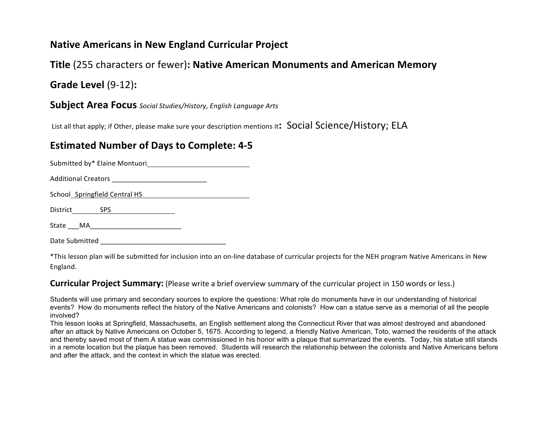## **Native Americans in New England Curricular Project**

## **Title** (255 characters or fewer): Native American Monuments and American Memory

## **Grade Level** (9-12):

#### **Subject Area Focus** *Social Studies/History, English Language Arts*

List all that apply; if Other, please make sure your description mentions it: Social Science/History; ELA

## **Estimated Number of Days to Complete: 4-5**

Submitted by\* Elaine Montuori

Additional\$Creators\$\_\_\_\_\_\_\_\_\_\_\_\_\_\_\_\_\_\_\_\_\_\_\_\_\_

School Springfield Central HS

District SPS

State MA

Date Submitted and the Submitted of the Submitted of the Submitted of the Submitted of the Submitted of the Submitted of the Submitted of the Submitted of the Submitted of the Submitted of the Submitted of the Submitted of

\*This lesson plan will be submitted for inclusion into an on-line database of curricular projects for the NEH program Native Americans in New England.

#### **Curricular Project Summary:** (Please write a brief overview summary of the curricular project in 150 words or less.)

Students will use primary and secondary sources to explore the questions: What role do monuments have in our understanding of historical events? How do monuments reflect the history of the Native Americans and colonists? How can a statue serve as a memorial of all the people involved?

This lesson looks at Springfield, Massachusetts, an English settlement along the Connecticut River that was almost destroyed and abandoned after an attack by Native Americans on October 5, 1675. According to legend, a friendly Native American, Toto, warned the residents of the attack and thereby saved most of them.A statue was commissioned in his honor with a plaque that summarized the events. Today, his statue still stands in a remote location but the plaque has been removed. Students will research the relationship between the colonists and Native Americans before and after the attack, and the context in which the statue was erected.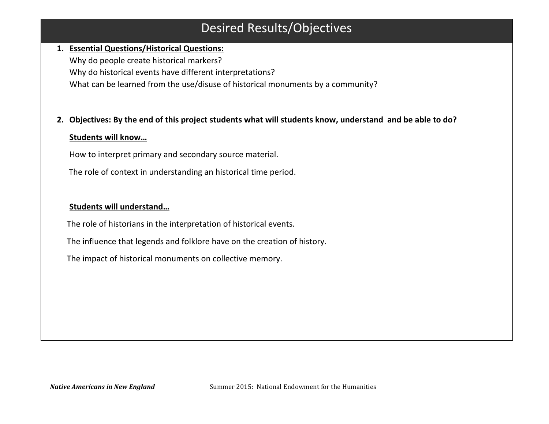## Desired Results/Objectives

## **1. Essential'Questions/Historical'Questions:'** Why do people create historical markers? Why do historical events have different interpretations? What can be learned from the use/disuse of historical monuments by a community?

#### **2. Objectives:'By'the'end'of'this'project'students'what'will'students'know,'understand' and be'able'to'do?'**

#### Students will know...

How to interpret primary and secondary source material.

The role of context in understanding an historical time period.

#### Students will understand...

The role of historians in the interpretation of historical events.

The influence that legends and folklore have on the creation of history.

The impact of historical monuments on collective memory.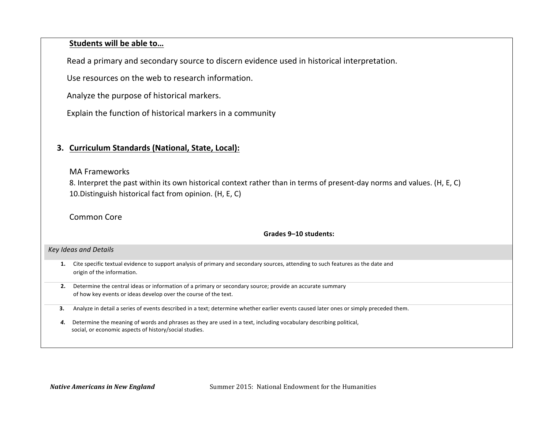#### Students will be able to...

Read a primary and secondary source to discern evidence used in historical interpretation.

Use resources on the web to research information.

Analyze the purpose of historical markers.

Explain the function of historical markers in a community

#### **3. Curriculum Standards (National, State, Local):**

MA Frameworks

8. Interpret the past within its own historical context rather than in terms of present-day norms and values. (H, E, C) 10. Distinguish historical fact from opinion. (H, E, C)

Common Core

#### Grades 9-10 students:

#### *Key'Ideas'and'Details*

- **1.** Cite specific textual evidence to support analysis of primary and secondary sources, attending to such features as the date and origin of the information.
- **2.** Determine the central ideas or information of a primary or secondary source; provide an accurate summary of how key events or ideas develop over the course of the text.
- 3. Analyze in detail a series of events described in a text; determine whether earlier events caused later ones or simply preceded them.
- **4.** Determine the meaning of words and phrases as they are used in a text, including vocabulary describing political, social, or economic aspects of history/social studies.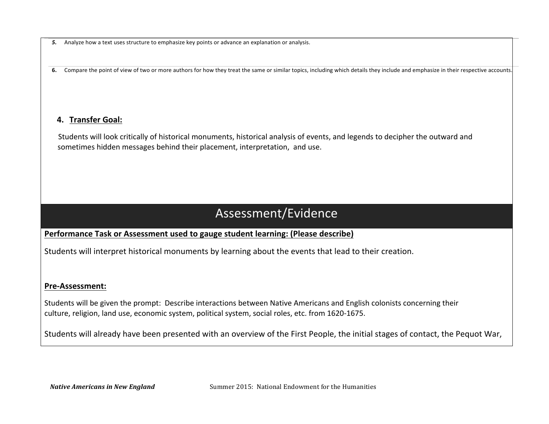**5.** Analyze how a text uses structure to emphasize key points or advance an explanation or analysis.

6. Compare the point of view of two or more authors for how they treat the same or similar topics, including which details they include and emphasize in their respective accounts.

#### **4. Transfer'Goal:'**

Students will look critically of historical monuments, historical analysis of events, and legends to decipher the outward and sometimes hidden messages behind their placement, interpretation, and use.

## Assessment/Evidence

#### Performance Task or Assessment used to gauge student learning: (Please describe)

Students will interpret historical monuments by learning about the events that lead to their creation.

#### Pre-Assessment:

Students will be given the prompt: Describe interactions between Native Americans and English colonists concerning their culture, religion, land use, economic system, political system, social roles, etc. from 1620-1675.

Students will already have been presented with an overview of the First People, the initial stages of contact, the Pequot War,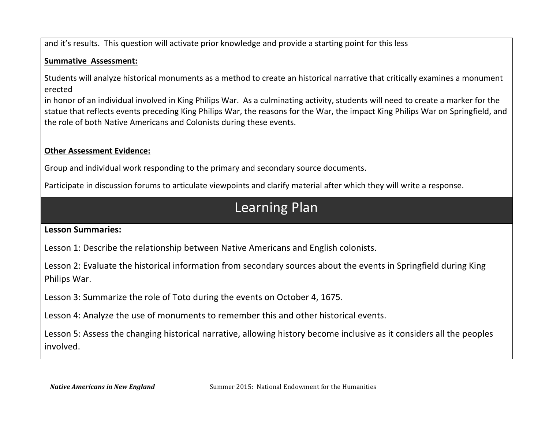and it's results. This question will activate prior knowledge and provide a starting point for this less

### **Summative' Assessment:'**

Students will analyze historical monuments as a method to create an historical narrative that critically examines a monument erected

in honor of an individual involved in King Philips War. As a culminating activity, students will need to create a marker for the statue that reflects events preceding King Philips War, the reasons for the War, the impact King Philips War on Springfield, and the role of both Native Americans and Colonists during these events.

### **Other Assessment Evidence:**

Group and individual work responding to the primary and secondary source documents.

Participate in discussion forums to articulate viewpoints and clarify material after which they will write a response.

# Learning Plan

### **Lesson'Summaries:**

Lesson 1: Describe the relationship between Native Americans and English colonists.

Lesson 2: Evaluate the historical information from secondary sources about the events in Springfield during King Philips War.

Lesson 3: Summarize the role of Toto during the events on October 4, 1675.

Lesson 4: Analyze the use of monuments to remember this and other historical events.

Lesson 5: Assess the changing historical narrative, allowing history become inclusive as it considers all the peoples involved.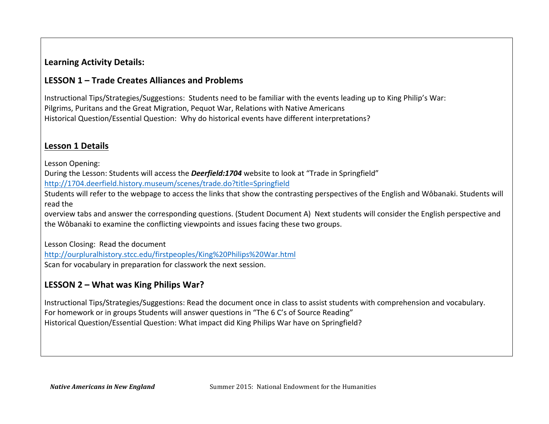### **Learning Activity Details:**

### LESSON 1 – Trade Creates Alliances and Problems

Instructional Tips/Strategies/Suggestions: Students need to be familiar with the events leading up to King Philip's War: Pilgrims, Puritans and the Great Migration, Pequot War, Relations with Native Americans Historical Question/Essential Question: Why do historical events have different interpretations?

### **Lesson 1 Details**

Lesson Opening:

During the Lesson: Students will access the *Deerfield:1704* website to look at "Trade in Springfield" http://1704.deerfield.history.museum/scenes/trade.do?title=Springfield

Students will refer to the webpage to access the links that show the contrasting perspectives of the English and Wôbanaki. Students will read the

overview tabs and answer the corresponding questions. (Student Document A) Next students will consider the English perspective and the Wôbanaki to examine the conflicting viewpoints and issues facing these two groups.

Lesson Closing: Read the document http://ourpluralhistory.stcc.edu/firstpeoples/King%20Philips%20War.html Scan for vocabulary in preparation for classwork the next session.

## LESSON 2 – What was King Philips War?

Instructional Tips/Strategies/Suggestions: Read the document once in class to assist students with comprehension and vocabulary. For homework or in groups Students will answer questions in "The 6 C's of Source Reading" Historical Question/Essential Question: What impact did King Philips War have on Springfield?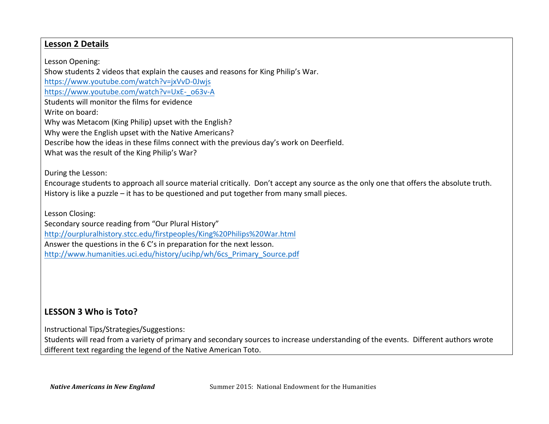#### **Lesson'2 Details**

Lesson Opening: Show students 2 videos that explain the causes and reasons for King Philip's War. https://www.youtube.com/watch?v=jxVvD-0Jwjs https://www.youtube.com/watch?v=UxE-\_ 063v-A Students will monitor the films for evidence Write on board: Why was Metacom (King Philip) upset with the English? Why were the English upset with the Native Americans? Describe how the ideas in these films connect with the previous day's work on Deerfield. What was the result of the King Philip's War?

During the Lesson:

Encourage students to approach all source material critically. Don't accept any source as the only one that offers the absolute truth. History is like a puzzle – it has to be questioned and put together from many small pieces.

Lesson Closing:

Secondary source reading from "Our Plural History" http://ourpluralhistory.stcc.edu/firstpeoples/King%20Philips%20War.html Answer the questions in the 6 C's in preparation for the next lesson. http://www.humanities.uci.edu/history/ucihp/wh/6cs\_Primary\_Source.pdf

## LESSON 3 Who is Toto?

Instructional Tips/Strategies/Suggestions:

Students will read from a variety of primary and secondary sources to increase understanding of the events. Different authors wrote different text regarding the legend of the Native American Toto.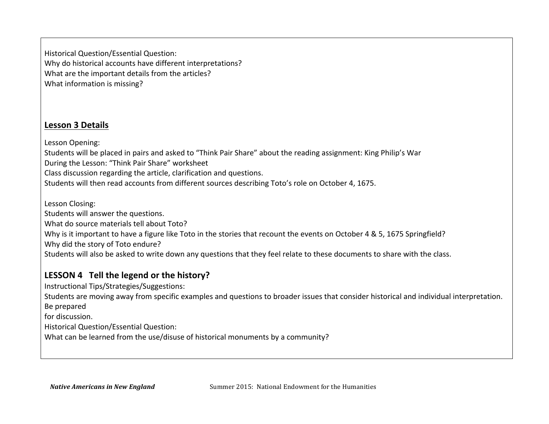Historical Question/Essential Question: Why do historical accounts have different interpretations? What are the important details from the articles? What information is missing?

### **Lesson 3 Details**

Lesson Opening:

Students will be placed in pairs and asked to "Think Pair Share" about the reading assignment: King Philip's War During the Lesson: "Think Pair Share" worksheet Class discussion regarding the article, clarification and questions. Students will then read accounts from different sources describing Toto's role on October 4, 1675.

Lesson Closing: Students will answer the questions. What do source materials tell about Toto? Why is it important to have a figure like Toto in the stories that recount the events on October 4 & 5, 1675 Springfield? Why did the story of Toto endure? Students will also be asked to write down any questions that they feel relate to these documents to share with the class.

## LESSON 4 Tell the legend or the history?

Instructional Tips/Strategies/Suggestions:

Students are moving away from specific examples and questions to broader issues that consider historical and individual interpretation. Be prepared

for discussion.

Historical Question/Essential Question:

What can be learned from the use/disuse of historical monuments by a community?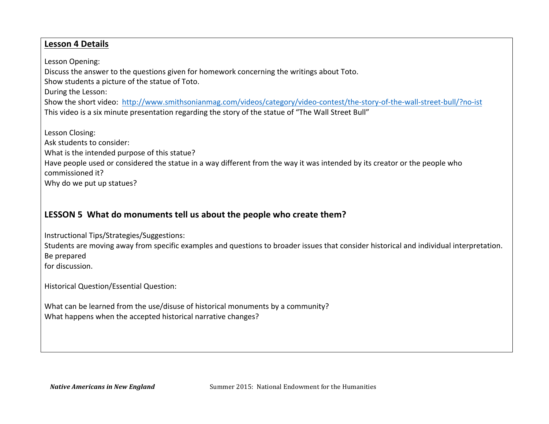#### **Lesson 4 Details**

Lesson Opening:

Discuss the answer to the questions given for homework concerning the writings about Toto.

Show students a picture of the statue of Toto.

During the Lesson:

Show the short video: http://www.smithsonianmag.com/videos/category/video-contest/the-story-of-the-wall-street-bull/?no-ist This video is a six minute presentation regarding the story of the statue of "The Wall Street Bull"

Lesson Closing: Ask students to consider: What is the intended purpose of this statue? Have people used or considered the statue in a way different from the way it was intended by its creator or the people who commissioned it? Why do we put up statues?

## LESSON 5 What do monuments tell us about the people who create them?

Instructional Tips/Strategies/Suggestions:

Students are moving away from specific examples and questions to broader issues that consider historical and individual interpretation. Be prepared

for discussion.

Historical Question/Essential Question:

What can be learned from the use/disuse of historical monuments by a community? What happens when the accepted historical narrative changes?

*Native Americans in New England* Summer 2015: National Endowment for the Humanities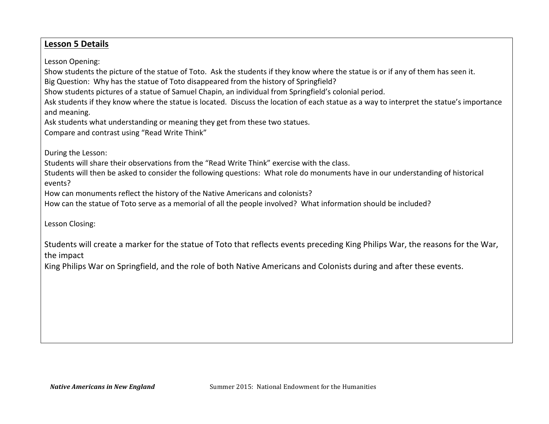#### **Lesson 5 Details**

Lesson Opening:

Show students the picture of the statue of Toto. Ask the students if they know where the statue is or if any of them has seen it.

Big Question: Why has the statue of Toto disappeared from the history of Springfield?

Show students pictures of a statue of Samuel Chapin, an individual from Springfield's colonial period.

Ask students if they know where the statue is located. Discuss the location of each statue as a way to interpret the statue's importance and meaning.

Ask students what understanding or meaning they get from these two statues.

Compare and contrast using "Read Write Think"

During the Lesson:

Students will share their observations from the "Read Write Think" exercise with the class.

Students will then be asked to consider the following questions: What role do monuments have in our understanding of historical events?

How can monuments reflect the history of the Native Americans and colonists?

How can the statue of Toto serve as a memorial of all the people involved? What information should be included?

Lesson Closing:

Students will create a marker for the statue of Toto that reflects events preceding King Philips War, the reasons for the War, the impact

King Philips War on Springfield, and the role of both Native Americans and Colonists during and after these events.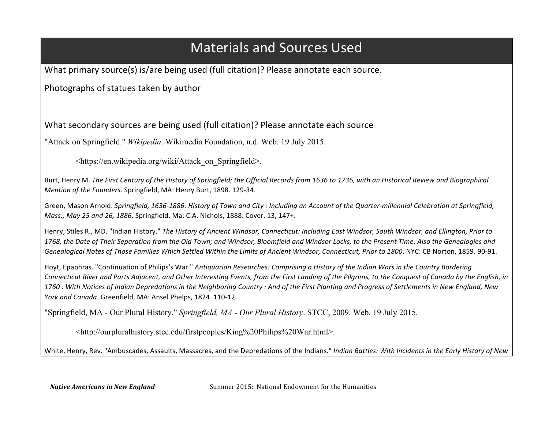## **Materials and Sources Used**

What primary source(s) is/are being used (full citation)? Please annotate each source.

Photographs of statues taken by author

What secondary sources are being used (full citation)? Please annotate each source

"Attack on Springfield." *Wikipedia*. Wikimedia Foundation, n.d. Web. 19 July 2015.

<https://en.wikipedia.org/wiki/Attack\_on\_Springfield>.

Burt, Henry M. *The First Century of the History of Springfield; the Official Records from 1636 to 1736, with an Historical Review and Biographical Mention of the Founders. Springfield, MA: Henry Burt, 1898. 129-34.* 

Green, Mason Arnold. Springfield, 1636-1886: History of Town and City: Including an Account of the Quarter-millennial Celebration at Springfield, *Mass., May 25 and 26, 1886.* Springfield, Ma: C.A. Nichols, 1888. Cover, 13, 147+.

Henry, Stiles R., MD. "Indian History." The History of Ancient Windsor, Connecticut: Including East Windsor, South Windsor, and Ellington, Prior to 1768, the Date of Their Separation from the Old Town; and Windsor, Bloomfield and Windsor Locks, to the Present Time. Also the Genealogies and Genealogical Notes of Those Families Which Settled Within the Limits of Ancient Windsor, Connecticut, Prior to 1800. NYC: CB Norton, 1859. 90-91.

Hoyt, Epaphras. "Continuation of Philips's War." Antiquarian Researches: Comprising a History of the Indian Wars in the Country Bordering Connecticut River and Parts Adjacent, and Other Interesting Events, from the First Landing of the Pilgrims, to the Conquest of Canada by the English, in *1760':'With'Notices'of'Indian'Depredations'in'the'Neighboring'Country':'And'of'the'First'Planting'and'Progress'of'Settlements in'New'England,'New' York and Canada*. Greenfield, MA: Ansel Phelps, 1824. 110-12.

"Springfield, MA - Our Plural History." *Springfield, MA - Our Plural History*. STCC, 2009. Web. 19 July 2015.

<http://ourpluralhistory.stcc.edu/firstpeoples/King%20Philips%20War.html>.

White, Henry, Rev. "Ambuscades, Assaults, Massacres, and the Depredations of the Indians." *Indian Battles: With Incidents in the Early History of New*